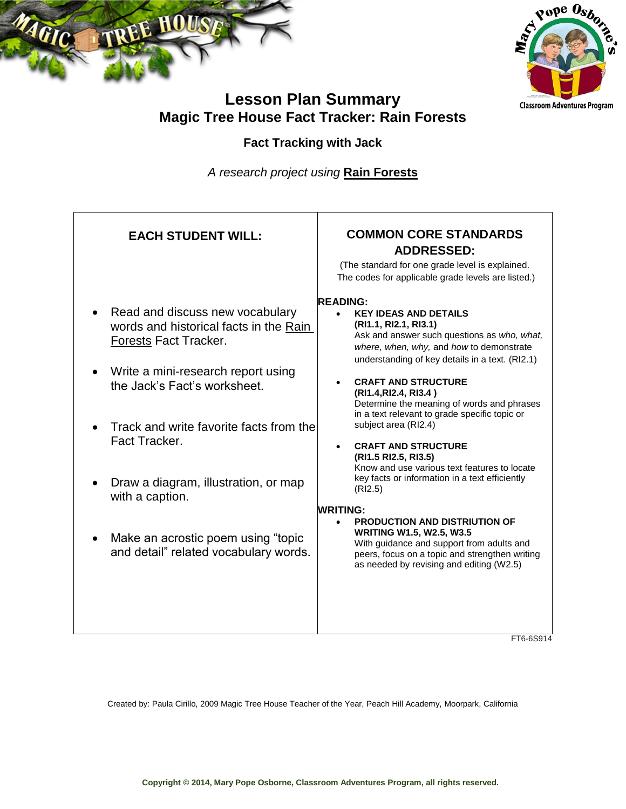



# **Lesson Plan Summary Magic Tree House Fact Tracker: Rain Forests**

## **Fact Tracking with Jack**

*A research project using* **Rain Forests**

| <b>READING:</b><br>Read and discuss new vocabulary<br><b>KEY IDEAS AND DETAILS</b><br>(RI1.1, RI2.1, RI3.1)<br>words and historical facts in the Rain<br>Ask and answer such questions as who, what,<br>Forests Fact Tracker.<br>where, when, why, and how to demonstrate<br>understanding of key details in a text. (RI2.1)<br>Write a mini-research report using<br><b>CRAFT AND STRUCTURE</b><br>the Jack's Fact's worksheet.<br>(RI1.4, RI2.4, RI3.4)<br>Determine the meaning of words and phrases<br>in a text relevant to grade specific topic or<br>subject area (RI2.4)<br>Track and write favorite facts from the<br>Fact Tracker.<br><b>CRAFT AND STRUCTURE</b><br>(RI1.5 RI2.5, RI3.5)<br>Know and use various text features to locate<br>key facts or information in a text efficiently<br>Draw a diagram, illustration, or map<br>(RI2.5)<br>with a caption.<br><b>WRITING:</b><br><b>PRODUCTION AND DISTRIUTION OF</b><br><b>WRITING W1.5, W2.5, W3.5</b><br>Make an acrostic poem using "topic<br>With guidance and support from adults and<br>and detail" related vocabulary words.<br>peers, focus on a topic and strengthen writing<br>as needed by revising and editing (W2.5) | <b>EACH STUDENT WILL:</b> | <b>COMMON CORE STANDARDS</b><br><b>ADDRESSED:</b><br>(The standard for one grade level is explained.<br>The codes for applicable grade levels are listed.) |
|----------------------------------------------------------------------------------------------------------------------------------------------------------------------------------------------------------------------------------------------------------------------------------------------------------------------------------------------------------------------------------------------------------------------------------------------------------------------------------------------------------------------------------------------------------------------------------------------------------------------------------------------------------------------------------------------------------------------------------------------------------------------------------------------------------------------------------------------------------------------------------------------------------------------------------------------------------------------------------------------------------------------------------------------------------------------------------------------------------------------------------------------------------------------------------------------------|---------------------------|------------------------------------------------------------------------------------------------------------------------------------------------------------|
|                                                                                                                                                                                                                                                                                                                                                                                                                                                                                                                                                                                                                                                                                                                                                                                                                                                                                                                                                                                                                                                                                                                                                                                                    |                           | FT6-6S914                                                                                                                                                  |

Created by: Paula Cirillo, 2009 Magic Tree House Teacher of the Year, Peach Hill Academy, Moorpark, California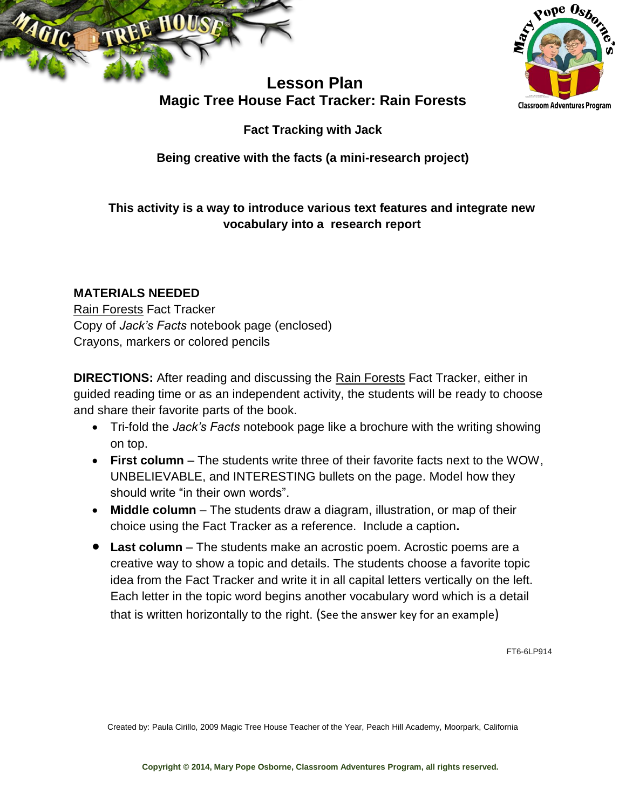



## **Lesson Plan Magic Tree House Fact Tracker: Rain Forests**

**Fact Tracking with Jack**

**Being creative with the facts (a mini-research project)**

## **This activity is a way to introduce various text features and integrate new vocabulary into a research report**

### **MATERIALS NEEDED**

Rain Forests Fact Tracker Copy of *Jack's Facts* notebook page (enclosed) Crayons, markers or colored pencils

**DIRECTIONS:** After reading and discussing the Rain Forests Fact Tracker, either in guided reading time or as an independent activity, the students will be ready to choose and share their favorite parts of the book.

- Tri-fold the *Jack's Facts* notebook page like a brochure with the writing showing on top.
- **First column** The students write three of their favorite facts next to the WOW, UNBELIEVABLE, and INTERESTING bullets on the page. Model how they should write "in their own words".
- **Middle column** The students draw a diagram, illustration, or map of their choice using the Fact Tracker as a reference. Include a caption**.**
- **Last column**  The students make an acrostic poem. Acrostic poems are a creative way to show a topic and details. The students choose a favorite topic idea from the Fact Tracker and write it in all capital letters vertically on the left. Each letter in the topic word begins another vocabulary word which is a detail that is written horizontally to the right. (See the answer key for an example)

FT6-6LP914

Created by: Paula Cirillo, 2009 Magic Tree House Teacher of the Year, Peach Hill Academy, Moorpark, California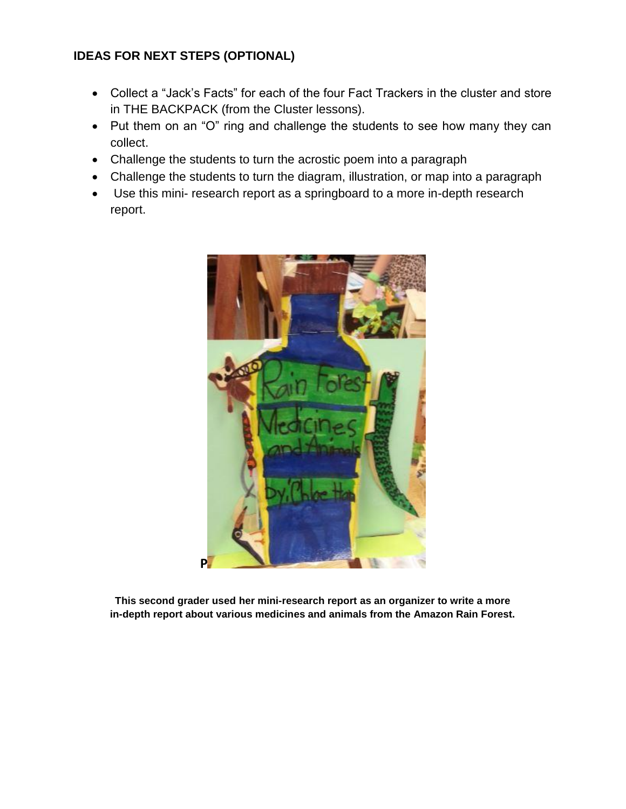#### **IDEAS FOR NEXT STEPS (OPTIONAL)**

- Collect a "Jack's Facts" for each of the four Fact Trackers in the cluster and store in THE BACKPACK (from the Cluster lessons).
- Put them on an "O" ring and challenge the students to see how many they can collect.
- Challenge the students to turn the acrostic poem into a paragraph
- Challenge the students to turn the diagram, illustration, or map into a paragraph
- Use this mini- research report as a springboard to a more in-depth research report.



**This second grader used her mini-research report as an organizer to write a more in-depth report about various medicines and animals from the Amazon Rain Forest.**